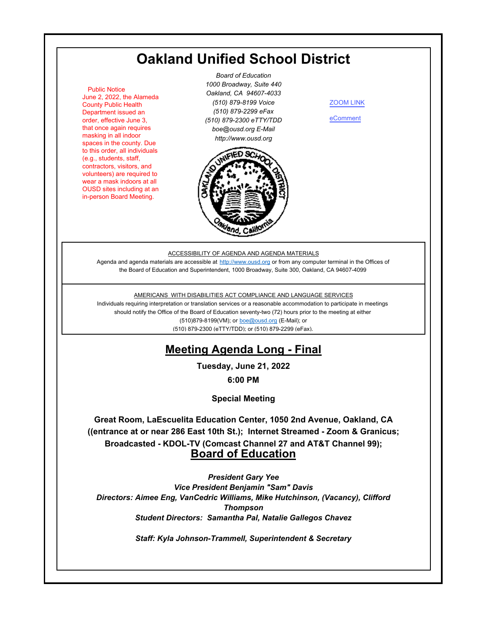# **Oakland Unified School District**

 Public Notice June 2, 2022, the Alameda County Public Health Department issued an order, effective June 3, that once again requires masking in all indoor spaces in the county. Due to this order, all individuals (e.g., students, staff, contractors, visitors, and volunteers) are required to wear a mask indoors at all OUSD sites including at an in-person Board Meeting.

*Board of Education 1000 Broadway, Suite 440 Oakland, CA 94607-4033 (510) 879-8199 Voice (510) 879-2299 eFax (510) 879-2300 eTTY/TDD boe@ousd.org E-Mail http://www.ousd.org*



[ZOOM LINK](https://ousd.zoom.us/j/82470430084)

[eComment](https://ousd.granicusideas.com/meetings/2354-board-of-education-on-2022-06-21-6-00-pm-special-meeting)

#### ACCESSIBILITY OF AGENDA AND AGENDA MATERIALS

Agenda and agenda materials are accessible at http://www.ousd.org or from any computer terminal in the Offices of the Board of Education and Superintendent, 1000 Broadway, Suite 300, Oakland, CA 94607-4099

#### AMERICANS WITH DISABILITIES ACT COMPLIANCE AND LANGUAGE SERVICES

Individuals requiring interpretation or translation services or a reasonable accommodation to participate in meetings should notify the Office of the Board of Education seventy-two (72) hours prior to the meeting at either (510)879-8199(VM); or boe@ousd.org (E-Mail); or (510) 879-2300 (eTTY/TDD); or (510) 879-2299 (eFax).

# **Meeting Agenda Long - Final**

**Tuesday, June 21, 2022**

**6:00 PM**

**Special Meeting**

**Great Room, LaEscuelita Education Center, 1050 2nd Avenue, Oakland, CA ((entrance at or near 286 East 10th St.); Internet Streamed - Zoom & Granicus; Broadcasted - KDOL-TV (Comcast Channel 27 and AT&T Channel 99); Board of Education**

*President Gary Yee Vice President Benjamin "Sam" Davis Directors: Aimee Eng, VanCedric Williams, Mike Hutchinson, (Vacancy), Clifford Thompson Student Directors: Samantha Pal, Natalie Gallegos Chavez*

*Staff: Kyla Johnson-Trammell, Superintendent & Secretary*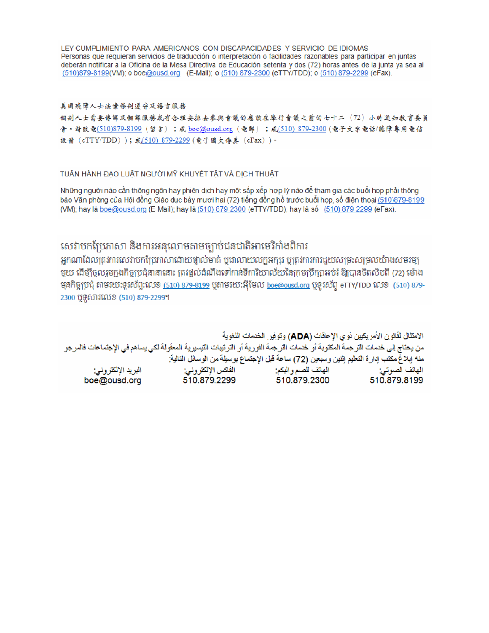LEY CUMPLIMIENTO PARA AMERICANOS CON DISCAPACIDADES Y SERVICIO DE IDIOMAS Personas que requieran servicios de traducción o interpretación o facilidades razonables para participar en juntas deberán notificar a la Oficina de la Mesa Directiva de Educación setenta y dos (72) horas antes de la junta ya sea al (510)879-8199(VM); o boe@ousd.org (E-Mail); o (510) 879-2300 (eTTY/TDD); o (510) 879-2299 (eFax).

#### 美国残障人士法案條例遵守及語言服務

個别人士需要傳譯及翻譯服務或有合理安排去參與會議的應該在舉行會議之前的七十二(72)小時通知教育委員 會。請致電(510)879-8199(留言);或 boe@ousd.org (電郵) ;或(510) 879-2300 (電子文字電話/聽障專用電信 設備 (eTTY/TDD));或(510) 879-2299 (電子圖文傳真 (eFax))。

#### TUẦN HÀNH ĐẠO LUẬT NGƯỜI MỸ KHUYẾT TẤT VÀ DỊCH THUẬT

Những người nào cần thông ngôn hay phiên dịch hay một sắp xếp hợp lý nào để tham gia các buổi họp phải thông báo Văn phòng của Hội đồng Giáo dục bảy mươi hai (72) tiếng đồng hồ trước buổi họp, số điện thoại (510)879-8199 (VM); hay là boe@ousd.org (E-Mail); hay là (510) 879-2300 (eTTY/TDD); hay là số (510) 879-2299 (eFax).

### សេវាបកប្រែភាសា និងការអនុលោមតាមច្បាប់ជនជាតិអាមេរិកាំងពិការ

អកណាដែលត្រូវការសេវាបកប្រែភាសាដោយផ្ទាល់មាត់ ឬជាលាយលក្ខអក្សរ ឬត្រូវការការជួយសម្រះសម្រលយ៉ាងសមរម្យ មួយ ដើម្បីចូលរួមក្នុងកិច្ចប្រជុំនានានោះ ត្រវង្គល់ដំណឹងទៅកាន់ទីការិយាល័យនៃក្រមប្រឹក្សាអប់រំ ឱ្យបានចិតសិបពី (72) ម៉ោង មុនកិច្ចប្រជុំ តាមរយៈទូរស័ព្ទ:លេខ <u>(510) 879-8199</u> បុតាមរយៈអ៊ីមែល <u>boe@ousd.org</u> បុទូរស័ព្ទ eTTY/TDD លេខ (510) 879-2300 ប៊ូទូសារលេខ (510) 879-2299។

الامتثال لقانون الأمريكيين نو ي الإحاقات (ADA) وتوفير الخدمات اللغوية من يحتاج إلى خدمات الترجمة المكتوبة أو خدمات الترجمة الفورية أو الترتيبات التيسيرية المعفّولة لكي يساهم في الإجتماعات فالمرجو منه إبلاغ مكتب إدارة التعليم إثنين وسبعين (72) ساعة قبل الإجتماع بوسيلة من الوسائل التالية: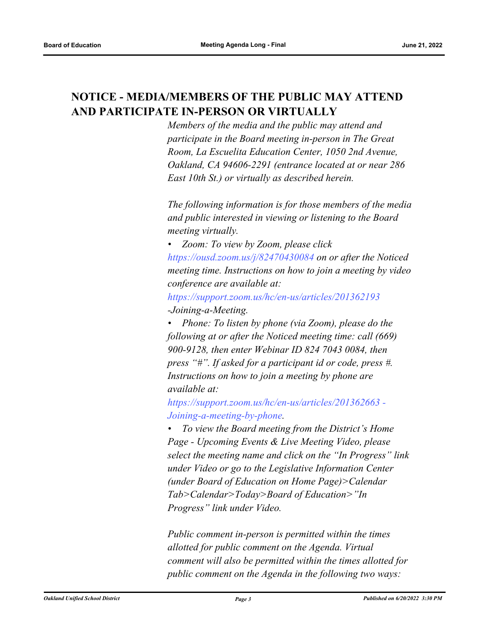# **NOTICE - MEDIA/MEMBERS OF THE PUBLIC MAY ATTEND AND PARTICIPATE IN-PERSON OR VIRTUALLY**

*Members of the media and the public may attend and participate in the Board meeting in-person in The Great Room, La Escuelita Education Center, 1050 2nd Avenue, Oakland, CA 94606-2291 (entrance located at or near 286 East 10th St.) or virtually as described herein.*

*The following information is for those members of the media and public interested in viewing or listening to the Board meeting virtually.*

*• Zoom: To view by Zoom, please click https://ousd.zoom.us/j/82470430084 on or after the Noticed meeting time. Instructions on how to join a meeting by video conference are available at:*

*https://support.zoom.us/hc/en-us/articles/201362193 -Joining-a-Meeting.*

*• Phone: To listen by phone (via Zoom), please do the following at or after the Noticed meeting time: call (669) 900-9128, then enter Webinar ID 824 7043 0084, then press "#". If asked for a participant id or code, press #. Instructions on how to join a meeting by phone are available at:*

*https://support.zoom.us/hc/en-us/articles/201362663 - Joining-a-meeting-by-phone.*

*• To view the Board meeting from the District's Home Page - Upcoming Events & Live Meeting Video, please select the meeting name and click on the "In Progress" link under Video or go to the Legislative Information Center (under Board of Education on Home Page)>Calendar Tab>Calendar>Today>Board of Education>"In Progress" link under Video.*

*Public comment in-person is permitted within the times allotted for public comment on the Agenda. Virtual comment will also be permitted within the times allotted for public comment on the Agenda in the following two ways:*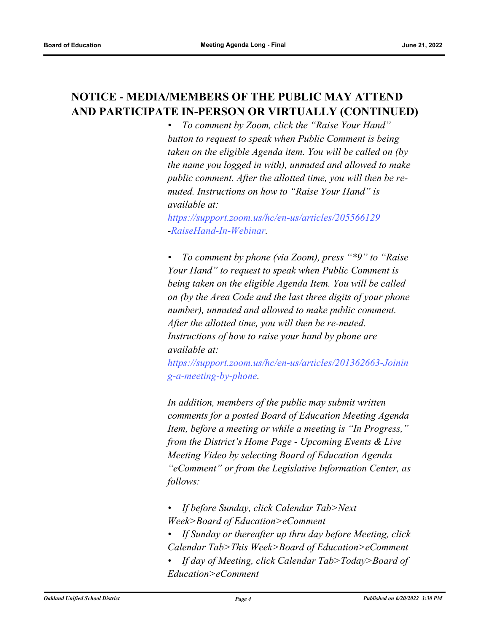# **NOTICE - MEDIA/MEMBERS OF THE PUBLIC MAY ATTEND AND PARTICIPATE IN-PERSON OR VIRTUALLY (CONTINUED)**

*• To comment by Zoom, click the "Raise Your Hand" button to request to speak when Public Comment is being taken on the eligible Agenda item. You will be called on (by the name you logged in with), unmuted and allowed to make public comment. After the allotted time, you will then be remuted. Instructions on how to "Raise Your Hand" is available at:*

*https://support.zoom.us/hc/en-us/articles/205566129 -RaiseHand-In-Webinar.*

*• To comment by phone (via Zoom), press "\*9" to "Raise Your Hand" to request to speak when Public Comment is being taken on the eligible Agenda Item. You will be called on (by the Area Code and the last three digits of your phone number), unmuted and allowed to make public comment. After the allotted time, you will then be re-muted. Instructions of how to raise your hand by phone are available at:*

*https://support.zoom.us/hc/en-us/articles/201362663-Joinin g-a-meeting-by-phone.*

*In addition, members of the public may submit written comments for a posted Board of Education Meeting Agenda Item, before a meeting or while a meeting is "In Progress," from the District's Home Page - Upcoming Events & Live Meeting Video by selecting Board of Education Agenda "eComment" or from the Legislative Information Center, as follows:*

- *If before Sunday, click Calendar Tab>Next Week>Board of Education>eComment*
- *If Sunday or thereafter up thru day before Meeting, click Calendar Tab>This Week>Board of Education>eComment*
- *If day of Meeting, click Calendar Tab>Today>Board of Education>eComment*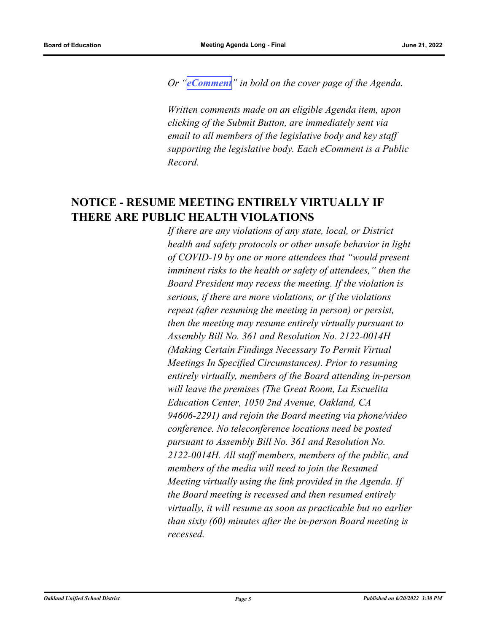*Or "[eComment](https://ousd.granicusideas.com/meetings/2354-board-of-education-on-2022-06-21-6-00-pm-special-meeting)" in bold on the cover page of the Agenda.* 

*Written comments made on an eligible Agenda item, upon clicking of the Submit Button, are immediately sent via email to all members of the legislative body and key staff supporting the legislative body. Each eComment is a Public Record.*

## **NOTICE - RESUME MEETING ENTIRELY VIRTUALLY IF THERE ARE PUBLIC HEALTH VIOLATIONS**

*If there are any violations of any state, local, or District health and safety protocols or other unsafe behavior in light of COVID-19 by one or more attendees that "would present imminent risks to the health or safety of attendees," then the Board President may recess the meeting. If the violation is serious, if there are more violations, or if the violations repeat (after resuming the meeting in person) or persist, then the meeting may resume entirely virtually pursuant to Assembly Bill No. 361 and Resolution No. 2122-0014H (Making Certain Findings Necessary To Permit Virtual Meetings In Specified Circumstances). Prior to resuming entirely virtually, members of the Board attending in-person will leave the premises (The Great Room, La Escuelita Education Center, 1050 2nd Avenue, Oakland, CA 94606-2291) and rejoin the Board meeting via phone/video conference. No teleconference locations need be posted pursuant to Assembly Bill No. 361 and Resolution No. 2122-0014H. All staff members, members of the public, and members of the media will need to join the Resumed Meeting virtually using the link provided in the Agenda. If the Board meeting is recessed and then resumed entirely virtually, it will resume as soon as practicable but no earlier than sixty (60) minutes after the in-person Board meeting is recessed.*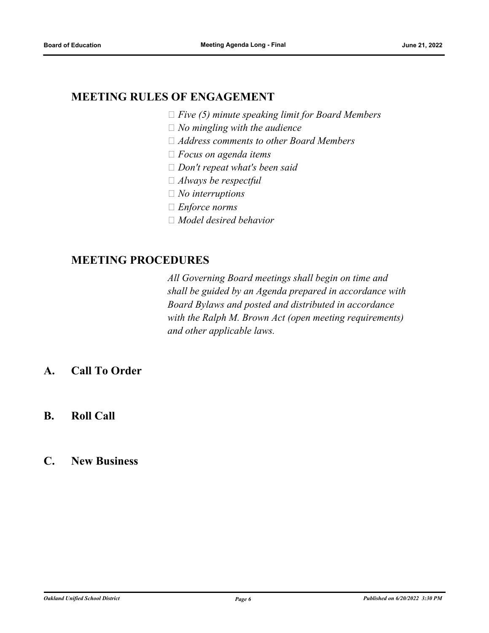### **MEETING RULES OF ENGAGEMENT**

- *Five (5) minute speaking limit for Board Members*
- *No mingling with the audience*
- *Address comments to other Board Members*
- *Focus on agenda items*
- *Don't repeat what's been said*
- *Always be respectful*
- *No interruptions*
- *Enforce norms*
- *Model desired behavior*

### **MEETING PROCEDURES**

*All Governing Board meetings shall begin on time and shall be guided by an Agenda prepared in accordance with Board Bylaws and posted and distributed in accordance with the Ralph M. Brown Act (open meeting requirements) and other applicable laws.*

- **A. Call To Order**
- **B. Roll Call**
- **C. New Business**